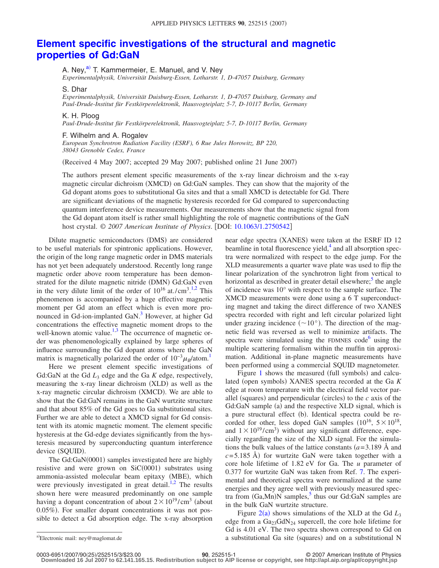## **[Element specific investigations of the structural and magnetic](http://dx.doi.org/10.1063/1.2750542) [properties of Gd:GaN](http://dx.doi.org/10.1063/1.2750542)**

A. Ney,<sup>a)</sup> T. Kammermeier, E. Manuel, and V. Ney

*Experimentalphysik, Universität Duisburg-Essen, Lotharstr. 1, D-47057 Duisburg, Germany*

S. Dhar

*Experimentalphysik, Universität Duisburg-Essen, Lotharstr. 1, D-47057 Duisburg, Germany and Paul-Drude-Institut für Festkörperelektronik, Hausvogteiplatz 5-7, D-10117 Berlin, Germany*

K. H. Ploog

*Paul-Drude-Institut für Festkörperelektronik, Hausvogteiplatz 5-7, D-10117 Berlin, Germany*

## F. Wilhelm and A. Rogalev

*European Synchrotron Radiation Facility (ESRF), 6 Rue Jules Horowitz, BP 220, 38043 Grenoble Cedex, France*

Received 4 May 2007; accepted 29 May 2007; published online 21 June 2007-

The authors present element specific measurements of the x-ray linear dichroism and the x-ray magnetic circular dichroism (XMCD) on Gd:GaN samples. They can show that the majority of the Gd dopant atoms goes to substitutional Ga sites and that a small XMCD is detectable for Gd. There are significant deviations of the magnetic hysteresis recorded for Gd compared to superconducting quantum interference device measurements. Our measurements show that the magnetic signal from the Gd dopant atom itself is rather small highlighting the role of magnetic contributions of the GaN host crystal. © 2007 American Institute of Physics. [DOI: [10.1063/1.2750542](http://dx.doi.org/10.1063/1.2750542)]

Dilute magnetic semiconductors (DMS) are considered to be useful materials for spintronic applications. However, the origin of the long range magnetic order in DMS materials has not yet been adequately understood. Recently long range magnetic order above room temperature has been demonstrated for the dilute magnetic nitride (DMN) Gd:GaN even in the very dilute limit of the order of  $10^{16}$  at./cm<sup>3.[1,](#page-2-0)[2](#page-2-1)</sup> This phenomenon is accompanied by a huge effective magnetic moment per Gd atom an effect which is even more pronounced in Gd-ion-implanted GaN.<sup>3</sup> However, at higher Gd concentrations the effective magnetic moment drops to the well-known atomic value.<sup>1,[3](#page-2-2)</sup> The occurrence of magnetic order was phenomenologically explained by large spheres of influence surrounding the Gd dopant atoms where the GaN matrix is magnetically polarized the order of  $10^{-3} \mu_B$ /atom.<sup>1</sup>

Here we present element specific investigations of Gd:GaN at the Gd  $L_3$  edge and the Ga  $K$  edge, respectively, measuring the x-ray linear dichroism (XLD) as well as the x-ray magnetic circular dichroism (XMCD). We are able to show that the Gd:GaN remains in the GaN wurtzite structure and that about 85% of the Gd goes to Ga substitutional sites. Further we are able to detect a XMCD signal for Gd consistent with its atomic magnetic moment. The element specific hysteresis at the Gd-edge deviates significantly from the hysteresis measured by superconducting quantum interference device (SQUID).

The Gd:GaN(0001) samples investigated here are highly resistive and were grown on SiC(0001) substrates using ammonia-assisted molecular beam epitaxy (MBE), which were previously investigated in great detail.<sup>1[,2](#page-2-1)</sup> The results shown here were measured predominantly on one sample having a dopant concentration of about  $2 \times 10^{19} / \text{cm}^3$  (about 0.05%). For smaller dopant concentrations it was not possible to detect a Gd absorption edge. The x-ray absorption

near edge spectra (XANES) were taken at the ESRF ID 12 beamline in total fluorescence yield, $4$  and all absorption spectra were normalized with respect to the edge jump. For the XLD measurements a quarter wave plate was used to flip the linear polarization of the synchrotron light from vertical to horizontal as described in greater detail elsewhere;<sup>5</sup> the angle of incidence was 10° with respect to the sample surface. The XMCD measurements were done using a 6 T superconducting magnet and taking the direct difference of two XANES spectra recorded with right and left circular polarized light under grazing incidence  $({\sim}10^{\circ})$ . The direction of the magnetic field was reversed as well to minimize artifacts. The spectra were simulated using the FDMNES code $<sup>6</sup>$  using the</sup> multiple scattering formalism within the muffin tin approximation. Additional in-plane magnetic measurements have been performed using a commercial SQUID magnetometer.

Figure [1](#page-1-0) shows the measured (full symbols) and calculated (open symbols) XANES spectra recorded at the Ga K edge at room temperature with the electrical field vector parallel (squares) and perpendicular (circles) to the  $c$  axis of the Gd:GaN sample (a) and the respective XLD signal, which is a pure structural effect (b). Identical spectra could be recorded for other, less doped GaN samples  $(10^{16}, 5 \times 10^{18},$ and  $1 \times 10^{19}$ /cm<sup>3</sup>) without any significant difference, especially regarding the size of the XLD signal. For the simulations the bulk values of the lattice constants  $(a=3.189 \text{ Å}$  and  $c = 5.185$  Å) for wurtzite GaN were taken together with a core hole lifetime of 1.82 eV for Ga. The *u* parameter of 0.377 for wurtzite GaN was taken from Ref. [7.](#page-2-6) The experimental and theoretical spectra were normalized at the same energies and they agree well with previously measured spectra from  $(Ga, Mn)N$  samples,<sup>5</sup> thus our Gd:GaN samples are in the bulk GaN wurtzite structure.

<span id="page-0-0"></span>Figure  $2(a)$  $2(a)$  shows simulations of the XLD at the Gd  $L_3$ edge from a  $Ga_{23}GdN_{24}$  supercell, the core hole lifetime for Gd is 4.01 eV. The two spectra shown correspond to Gd on a substitutional Ga site (squares) and on a substitutional N a-

Electronic mail: ney@maglomat.de

<sup>25</sup>/252515/3/\$23.00 © 2007 American Institute of Physics **90**, 252515-1 **Downloaded 16 Jul 2007 to 62.141.165.15. Redistribution subject to AIP license or copyright, see http://apl.aip.org/apl/copyright.jsp**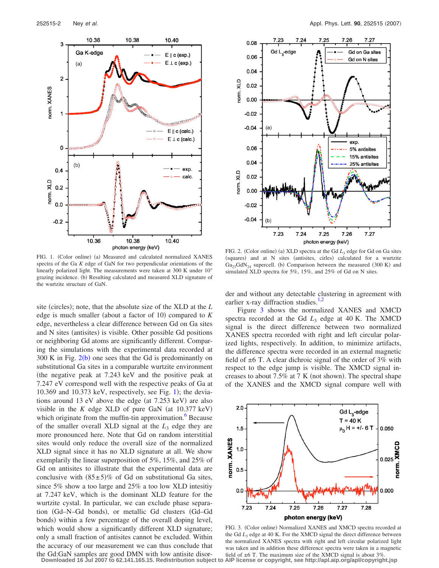<span id="page-1-0"></span>

<span id="page-1-1"></span>

FIG. 1. (Color online) (a) Measured and calculated normalized XANES spectra of the Ga *K* edge of GaN for two perpendicular orientations of the linearly polarized light. The measurements were taken at 300 K under 10° grazing incidence. (b) Resulting calculated and measured XLD signature of the wurtzite structure of GaN.

site (circles); note, that the absolute size of the XLD at the *L* edge is much smaller (about a factor of 10) compared to *K* edge, nevertheless a clear difference between Gd on Ga sites and N sites (antisites) is visible. Other possible Gd positions or neighboring Gd atoms are significantly different. Comparing the simulations with the experimental data recorded at 300 K in Fig.  $2(b)$  $2(b)$  one sees that the Gd is predominantly on substitutional Ga sites in a comparable wurtzite environment the negative peak at 7.243 keV and the positive peak at 7.247 eV correspond well with the respective peaks of Ga at  $10.369$  $10.369$  and  $10.373$  keV, respectively, see Fig. 1); the deviations around 13 eV above the edge (at 7.253 keV) are also visible in the  $K$  edge XLD of pure GaN (at  $10.377$  keV) which originate from the muffin-tin approximation.<sup>6</sup> Because of the smaller overall XLD signal at the  $L<sub>3</sub>$  edge they are more pronounced here. Note that Gd on random interstitial sites would only reduce the overall size of the normalized XLD signal since it has no XLD signature at all. We show exemplarily the linear superposition of 5%, 15%, and 25% of Gd on antisites to illustrate that the experimental data are conclusive with  $(85±5)\%$  of Gd on substitutional Ga sites, since 5% show a too large and 25% a too low XLD intesitiy at 7.247 keV, which is the dominant XLD feature for the wurtzite cystal. In particular, we can exclude phase separation (Gd-N-Gd bonds), or metallic Gd clusters (Gd-Gd bonds) within a few percentage of the overall doping level, which would show a significantly different XLD signature; only a small fraction of antisites cannot be excluded. Within the accuracy of our measurement we can thus conclude that the Gd:GaN samples are good DMN with low antisite disor-

FIG. 2. (Color online) (a) XLD spectra at the Gd  $L_3$  edge for Gd on Ga sites (squares) and at N sites (antisites, cirles) calculated for a wurtzite  $Ga_{23}GdN_{24}$  supercell. (b) Comparison between the measured (300 K) and simulated XLD spectra for 5%, 15%, and 25% of Gd on N sites.

der and without any detectable clustering in agreement with earlier x-ray diffraction studies. $1,2$  $1,2$ 

Figure [3](#page-1-2) shows the normalized XANES and XMCD spectra recorded at the Gd  $L_3$  edge at 40 K. The XMCD signal is the direct difference between two normalized XANES spectra recorded with right and left circular polarized lights, respectively. In addition, to minimize artifacts, the difference spectra were recorded in an external magnetic field of  $\pm 6$  T. A clear dichroic signal of the order of 3% with respect to the edge jump is visible. The XMCD signal increases to about  $7.5\%$  at  $7$  K (not shown). The spectral shape of the XANES and the XMCD signal compare well with

<span id="page-1-2"></span>

FIG. 3. (Color online) Normalized XANES and XMCD spectra recorded at the Gd *L*<sup>3</sup> edge at 40 K. For the XMCD signal the direct difference between the normalized XANES spectra with right and left circular polarized light was taken and in addition these difference spectra were taken in a magnetic field of  $\pm 6$  T. The maximum size of the XMCD signal is about 3%.

**Downloaded 16 Jul 2007 to 62.141.165.15. Redistribution subject to AIP license or copyright, see http://apl.aip.org/apl/copyright.jsp**